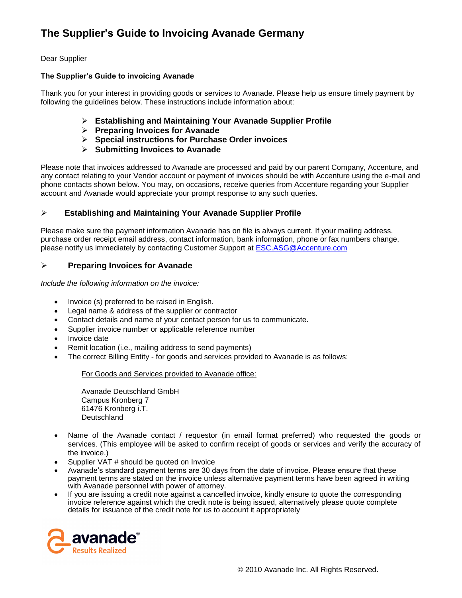# **The Supplier's Guide to Invoicing Avanade Germany**

# Dear Supplier

## **The Supplier's Guide to invoicing Avanade**

Thank you for your interest in providing goods or services to Avanade. Please help us ensure timely payment by following the guidelines below. These instructions include information about:

- **Establishing and Maintaining Your Avanade Supplier Profile**
- **Preparing Invoices for Avanade**
- **Special instructions for Purchase Order invoices**
- **Submitting Invoices to Avanade**

Please note that invoices addressed to Avanade are processed and paid by our parent Company, Accenture, and any contact relating to your Vendor account or payment of invoices should be with Accenture using the e-mail and phone contacts shown below. You may, on occasions, receive queries from Accenture regarding your Supplier account and Avanade would appreciate your prompt response to any such queries.

# **Establishing and Maintaining Your Avanade Supplier Profile**

Please make sure the payment information Avanade has on file is always current. If your mailing address, purchase order receipt email address, contact information, bank information, phone or fax numbers change, please notify us immediately by contacting Customer Support at [ESC.ASG@Accenture.com](mailto:ESC.ASG@Accenture.com)

# **Preparing Invoices for Avanade**

*Include the following information on the invoice:*

- Invoice (s) preferred to be raised in English.
- Legal name & address of the supplier or contractor
- Contact details and name of your contact person for us to communicate.
- Supplier invoice number or applicable reference number
- Invoice date
- Remit location (i.e., mailing address to send payments)
- The correct Billing Entity for goods and services provided to Avanade is as follows:

### For Goods and Services provided to Avanade office:

Avanade Deutschland GmbH Campus Kronberg 7 61476 Kronberg i.T. Deutschland

- Name of the Avanade contact / requestor (in email format preferred) who requested the goods or services. (This employee will be asked to confirm receipt of goods or services and verify the accuracy of the invoice.)
- Supplier VAT # should be quoted on Invoice
- Avanade's standard payment terms are 30 days from the date of invoice. Please ensure that these payment terms are stated on the invoice unless alternative payment terms have been agreed in writing with Avanade personnel with power of attorney.
- If you are issuing a credit note against a cancelled invoice, kindly ensure to quote the corresponding invoice reference against which the credit note is being issued, alternatively please quote complete details for issuance of the credit note for us to account it appropriately

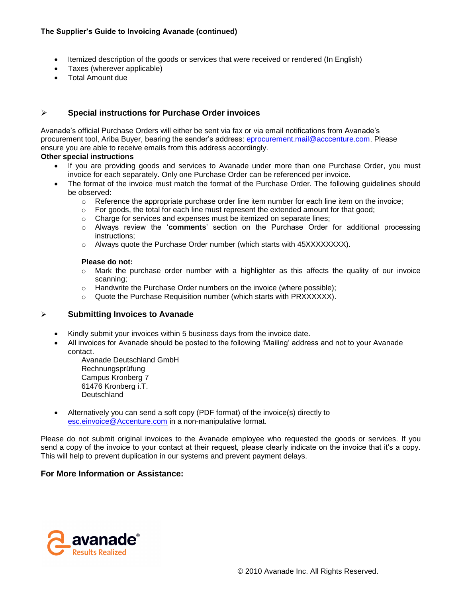- Itemized description of the goods or services that were received or rendered (In English)
- Taxes (wherever applicable)
- Total Amount due

# **Special instructions for Purchase Order invoices**

Avanade's official Purchase Orders will either be sent via fax or via email notifications from Avanade's procurement tool, Ariba Buyer, bearing the sender's address: [eprocurement.mail@acccenture.com.](mailto:eprocurement.mail@acccenture.com) Please ensure you are able to receive emails from this address accordingly.

## **Other special instructions**

- If you are providing goods and services to Avanade under more than one Purchase Order, you must invoice for each separately. Only one Purchase Order can be referenced per invoice.
- The format of the invoice must match the format of the Purchase Order. The following guidelines should be observed:
	- $\circ$  Reference the appropriate purchase order line item number for each line item on the invoice;
	- $\circ$  For goods, the total for each line must represent the extended amount for that good;
	- o Charge for services and expenses must be itemized on separate lines;
	- o Always review the '**comments**' section on the Purchase Order for additional processing instructions;
	- o Always quote the Purchase Order number (which starts with 45XXXXXXXX).

### **Please do not:**

- $\circ$  Mark the purchase order number with a highlighter as this affects the quality of our invoice scanning;
- o Handwrite the Purchase Order numbers on the invoice (where possible);
- $\circ$  Quote the Purchase Requisition number (which starts with PRXXXXXX).

# **Submitting Invoices to Avanade**

- Kindly submit your invoices within 5 business days from the invoice date.
- All invoices for Avanade should be posted to the following 'Mailing' address and not to your Avanade contact.

Avanade Deutschland GmbH Rechnungsprüfung Campus Kronberg 7 61476 Kronberg i.T. **Deutschland** 

 Alternatively you can send a soft copy (PDF format) of the invoice(s) directly to [esc.einvoice@Accenture.com](mailto:esc.einvoice@Accenture.com) in a non-manipulative format.

Please do not submit original invoices to the Avanade employee who requested the goods or services. If you send a copy of the invoice to your contact at their request, please clearly indicate on the invoice that it's a copy. This will help to prevent duplication in our systems and prevent payment delays.

# **For More Information or Assistance:**